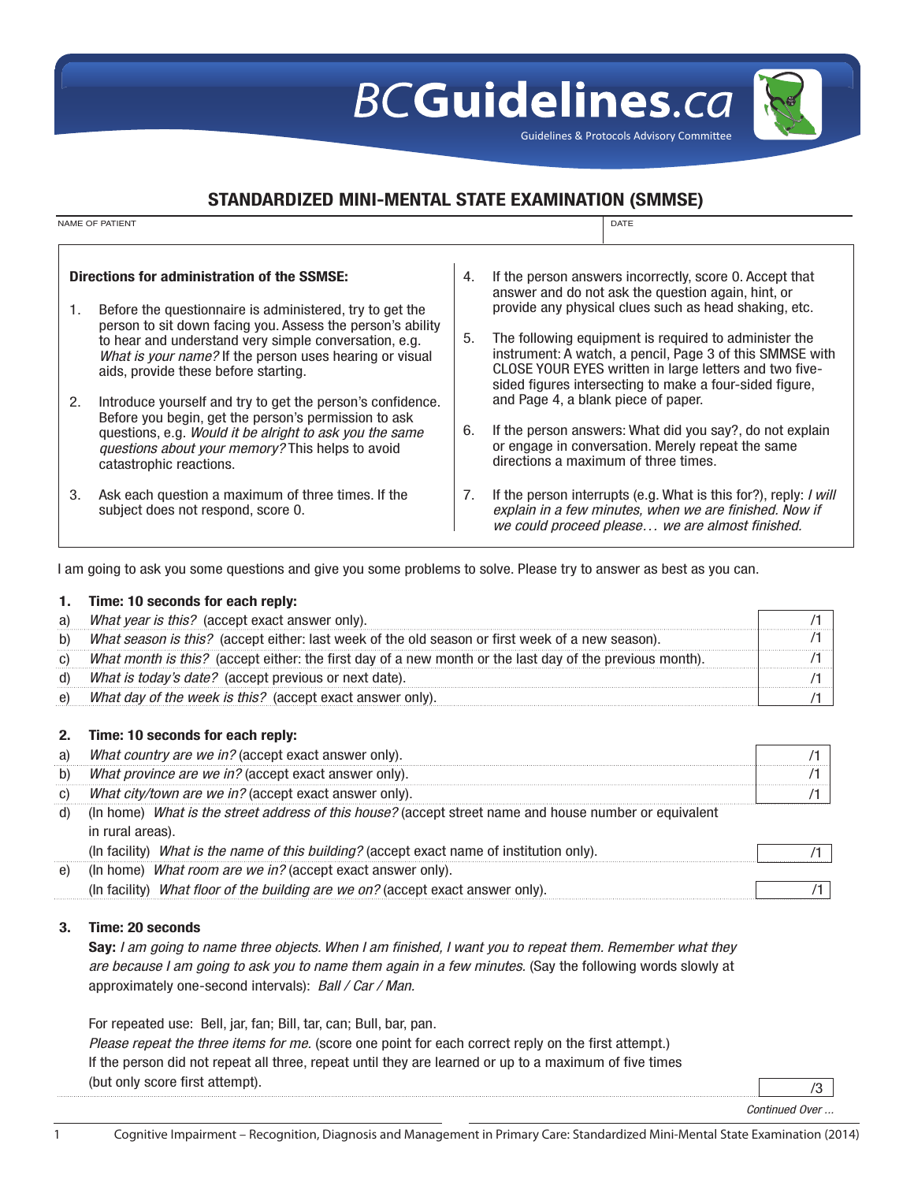## **BCGuidelines.ca**

Guidelines & Protocols Advisory Committee

## STANDARDIZED MINI-MENTAL STATE EXAMINATION (SMMSE)

| <b>NAME OF PATIENT</b>                      |                                                                                                                                                                                                       |    | DATE                                                                                                                                                                                                                                   |  |
|---------------------------------------------|-------------------------------------------------------------------------------------------------------------------------------------------------------------------------------------------------------|----|----------------------------------------------------------------------------------------------------------------------------------------------------------------------------------------------------------------------------------------|--|
|                                             |                                                                                                                                                                                                       |    |                                                                                                                                                                                                                                        |  |
| Directions for administration of the SSMSE: |                                                                                                                                                                                                       |    | If the person answers incorrectly, score 0. Accept that<br>answer and do not ask the question again, hint, or                                                                                                                          |  |
| 1.                                          | Before the questionnaire is administered, try to get the<br>person to sit down facing you. Assess the person's ability                                                                                |    | provide any physical clues such as head shaking, etc.                                                                                                                                                                                  |  |
|                                             | to hear and understand very simple conversation, e.g.<br>What is your name? If the person uses hearing or visual<br>aids, provide these before starting.                                              | 5. | The following equipment is required to administer the<br>instrument: A watch, a pencil, Page 3 of this SMMSE with<br>CLOSE YOUR EYES written in large letters and two five-<br>sided figures intersecting to make a four-sided figure, |  |
| 2.                                          | Introduce yourself and try to get the person's confidence.                                                                                                                                            |    | and Page 4, a blank piece of paper.                                                                                                                                                                                                    |  |
|                                             | Before you begin, get the person's permission to ask<br>questions, e.g. Would it be alright to ask you the same<br><i>questions about your memory?</i> This helps to avoid<br>catastrophic reactions. | 6. | If the person answers: What did you say?, do not explain<br>or engage in conversation. Merely repeat the same<br>directions a maximum of three times.                                                                                  |  |
| 3.                                          | Ask each question a maximum of three times. If the<br>subject does not respond, score 0.                                                                                                              | 7. | If the person interrupts (e.g. What is this for?), reply: <i>I will</i><br>explain in a few minutes, when we are finished. Now if<br>we could proceed please we are almost finished.                                                   |  |

I am going to ask you some questions and give you some problems to solve. Please try to answer as best as you can.

### 1. Time: 10 seconds for each reply:

| a) | What year is this? (accept exact answer only).                                                           |  |
|----|----------------------------------------------------------------------------------------------------------|--|
| b) | What season is this? (accept either: last week of the old season or first week of a new season).         |  |
| C) | What month is this? (accept either: the first day of a new month or the last day of the previous month). |  |
| d) | What is today's date? (accept previous or next date).                                                    |  |
| e) | What day of the week is this? (accept exact answer only).                                                |  |

### 2. Time: 10 seconds for each reply:

| a) | What country are we in? (accept exact answer only).                                                                        |  |
|----|----------------------------------------------------------------------------------------------------------------------------|--|
|    | What province are we in? (accept exact answer only).                                                                       |  |
|    | What city/town are we in? (accept exact answer only).                                                                      |  |
|    | (In home) What is the street address of this house? (accept street name and house number or equivalent<br>in rural areas). |  |
|    | (In facility) What is the name of this building? (accept exact name of institution only).                                  |  |
|    | (In home) What room are we in? (accept exact answer only).                                                                 |  |

| - --<br>עוחר<br>oп<br>,,,,,,<br><i>MF</i><br><i>W.</i><br>:W<br>ו רז<br>$\sigma$<br>,,,<br>F.711<br>. . |  |
|---------------------------------------------------------------------------------------------------------|--|
|                                                                                                         |  |

### 3. Time: 20 seconds

Say: *I am going to name three objects. When I am finished, I want you to repeat them. Remember what they are because I am going to ask you to name them again in a few minutes.* (Say the following words slowly at approximately one-second intervals): *Ball / Car / Man.* 

For repeated use: Bell, jar, fan; Bill, tar, can; Bull, bar, pan.

| <i>Please repeat the three items for me.</i> (score one point for each correct reply on the first attempt.) |  |
|-------------------------------------------------------------------------------------------------------------|--|
| If the person did not repeat all three, repeat until they are learned or up to a maximum of five times      |  |
| (but only score first attempt).                                                                             |  |

*Continued Over ...*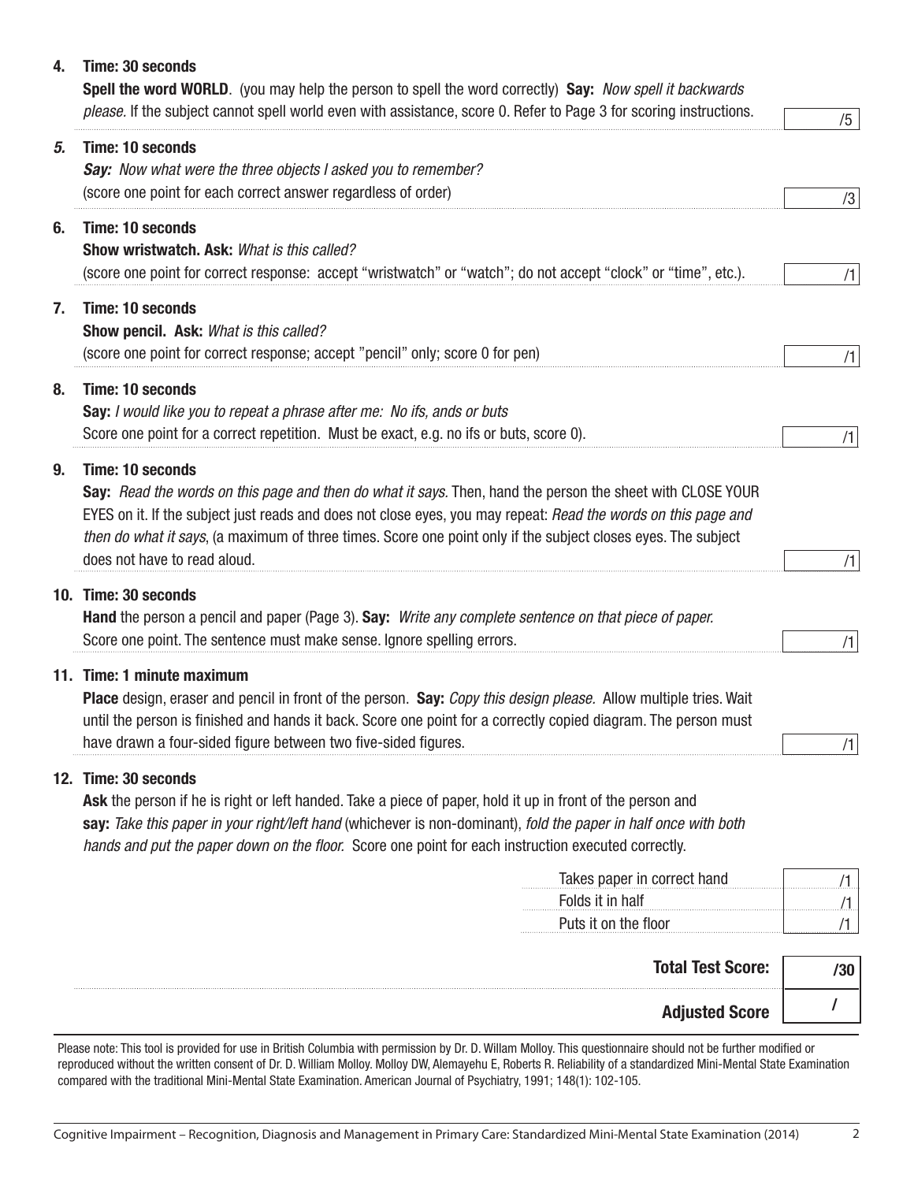## 4. Time: 30 seconds

Spell the word WORLD. (you may help the person to spell the word correctly) Say: *Now spell it backwards please.* If the subject cannot spell world even with assistance, score 0. Refer to Page 3 for scoring instructions.

|    | בוקוספסט. וו נווס טמטןסטג טמוווטג טאסוו שטווע סעסוו שומו פטטוסנפווטס, טטווס ט. ווסוסו נט ו פעס טוטו טטווווען וווסנועטווט.                                                                                                       | /5  |
|----|---------------------------------------------------------------------------------------------------------------------------------------------------------------------------------------------------------------------------------|-----|
| 5. | <b>Time: 10 seconds</b>                                                                                                                                                                                                         |     |
|    | Say: Now what were the three objects I asked you to remember?                                                                                                                                                                   |     |
|    | (score one point for each correct answer regardless of order)                                                                                                                                                                   | /3  |
| 6. | <b>Time: 10 seconds</b>                                                                                                                                                                                                         |     |
|    | Show wristwatch. Ask: What is this called?                                                                                                                                                                                      |     |
|    | (score one point for correct response: accept "wristwatch" or "watch"; do not accept "clock" or "time", etc.).                                                                                                                  | /1  |
| 7. | <b>Time: 10 seconds</b>                                                                                                                                                                                                         |     |
|    | Show pencil. Ask: What is this called?                                                                                                                                                                                          |     |
|    | (score one point for correct response; accept "pencil" only; score 0 for pen)                                                                                                                                                   | /1  |
| 8. | <b>Time: 10 seconds</b>                                                                                                                                                                                                         |     |
|    | Say: I would like you to repeat a phrase after me: No ifs, ands or buts                                                                                                                                                         |     |
|    | Score one point for a correct repetition. Must be exact, e.g. no ifs or buts, score 0).                                                                                                                                         | /1  |
|    |                                                                                                                                                                                                                                 |     |
| 9. | <b>Time: 10 seconds</b>                                                                                                                                                                                                         |     |
|    | Say: Read the words on this page and then do what it says. Then, hand the person the sheet with CLOSE YOUR                                                                                                                      |     |
|    | EYES on it. If the subject just reads and does not close eyes, you may repeat: Read the words on this page and<br>then do what it says, (a maximum of three times. Score one point only if the subject closes eyes. The subject |     |
|    | does not have to read aloud.                                                                                                                                                                                                    | /1  |
|    |                                                                                                                                                                                                                                 |     |
|    | 10. Time: 30 seconds                                                                                                                                                                                                            |     |
|    | Hand the person a pencil and paper (Page 3). Say: Write any complete sentence on that piece of paper.                                                                                                                           |     |
|    | Score one point. The sentence must make sense. Ignore spelling errors.                                                                                                                                                          | /1  |
|    | 11. Time: 1 minute maximum                                                                                                                                                                                                      |     |
|    | Place design, eraser and pencil in front of the person. Say: Copy this design please. Allow multiple tries. Wait                                                                                                                |     |
|    | until the person is finished and hands it back. Score one point for a correctly copied diagram. The person must                                                                                                                 |     |
|    | have drawn a four-sided figure between two five-sided figures.                                                                                                                                                                  | /1  |
|    | 12. Time: 30 seconds                                                                                                                                                                                                            |     |
|    | Ask the person if he is right or left handed. Take a piece of paper, hold it up in front of the person and                                                                                                                      |     |
|    | say: Take this paper in your right/left hand (whichever is non-dominant), fold the paper in half once with both                                                                                                                 |     |
|    | hands and put the paper down on the floor. Score one point for each instruction executed correctly.                                                                                                                             |     |
|    | Takes paper in correct hand                                                                                                                                                                                                     | /1  |
|    | Folds it in half                                                                                                                                                                                                                | /1  |
|    | Puts it on the floor                                                                                                                                                                                                            | /1  |
|    |                                                                                                                                                                                                                                 |     |
|    | <b>Total Test Score:</b>                                                                                                                                                                                                        | /30 |
|    |                                                                                                                                                                                                                                 |     |

Adjusted Score

Please note: This tool is provided for use in British Columbia with permission by Dr. D. Willam Molloy. This questionnaire should not be further modified or reproduced without the written consent of Dr. D. William Molloy. Molloy DW, Alemayehu E, Roberts R. Reliability of a standardized Mini-Mental State Examination compared with the traditional Mini-Mental State Examination. American Journal of Psychiatry, 1991; 148(1): 102-105.

 $\prime$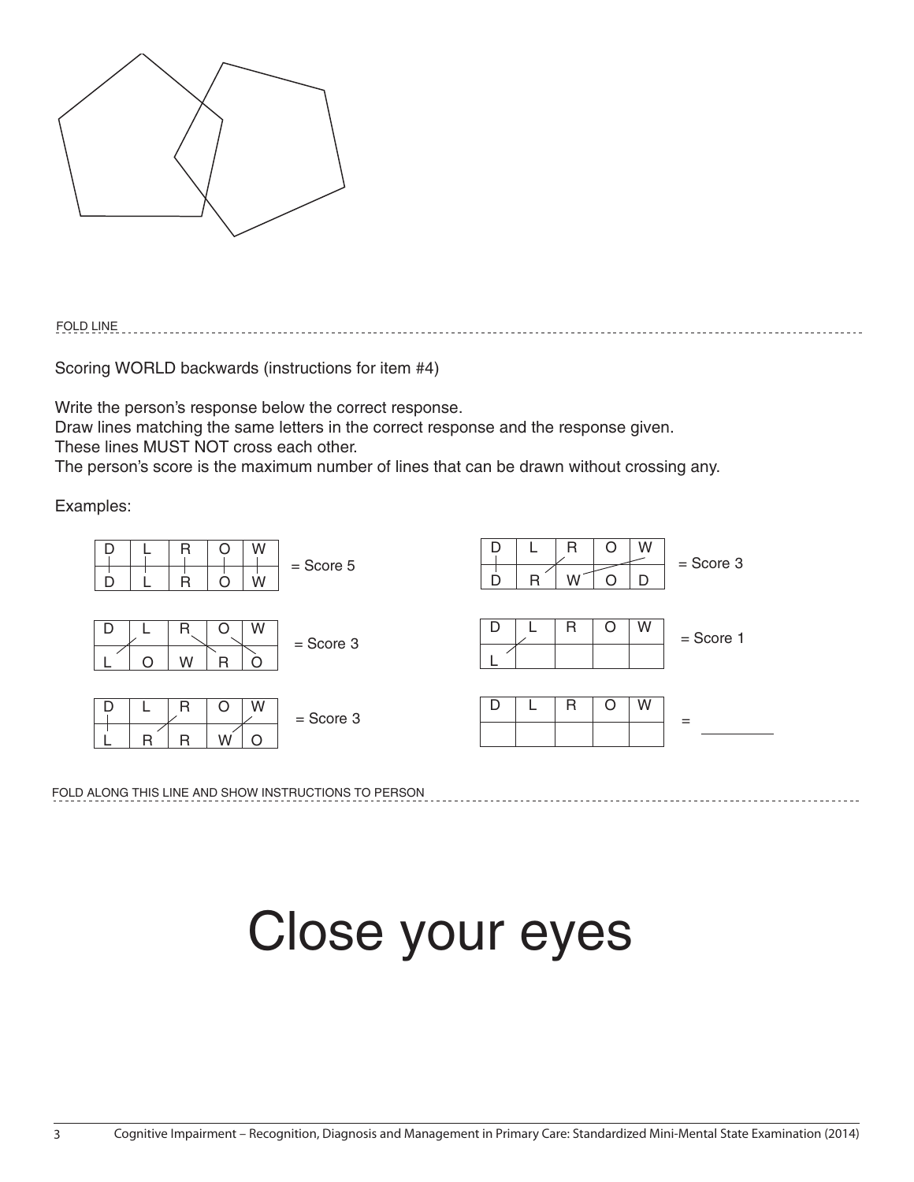

FOLD LINE

Scoring WORLD backwards (instructions for item #4)

Write the person's response below the correct response.

Draw lines matching the same letters in the correct response and the response given.

These lines MUST NOT cross each other.

The person's score is the maximum number of lines that can be drawn without crossing any.

Examples:



FOLD ALONG THIS LINE AND SHOW INSTRUCTIONS TO PERSON

# Close your eyes